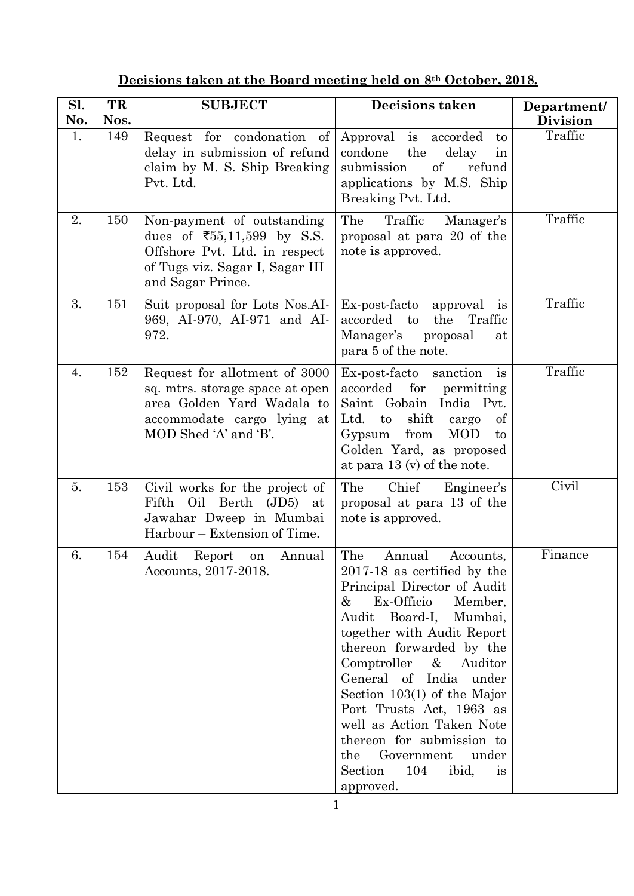| Sl. | TR   | <b>SUBJECT</b>                                                                                                                                                | <b>Decisions taken</b>                                                                                                                                                                                                                                                                                                                                                                                                                                                       | Department/     |
|-----|------|---------------------------------------------------------------------------------------------------------------------------------------------------------------|------------------------------------------------------------------------------------------------------------------------------------------------------------------------------------------------------------------------------------------------------------------------------------------------------------------------------------------------------------------------------------------------------------------------------------------------------------------------------|-----------------|
| No. | Nos. |                                                                                                                                                               |                                                                                                                                                                                                                                                                                                                                                                                                                                                                              | <b>Division</b> |
| 1.  | 149  | Request for condonation of<br>delay in submission of refund<br>claim by M. S. Ship Breaking<br>Pvt. Ltd.                                                      | Approval is accorded<br>to<br>the<br>delay<br>condone<br>in<br><sub>of</sub><br>submission<br>refund<br>applications by M.S. Ship<br>Breaking Pvt. Ltd.                                                                                                                                                                                                                                                                                                                      | Traffic         |
| 2.  | 150  | Non-payment of outstanding<br>dues of $\overline{55,11,599}$ by S.S.<br>Offshore Pvt. Ltd. in respect<br>of Tugs viz. Sagar I, Sagar III<br>and Sagar Prince. | The<br>Traffic<br>Manager's<br>proposal at para 20 of the<br>note is approved.                                                                                                                                                                                                                                                                                                                                                                                               | Traffic         |
| 3.  | 151  | Suit proposal for Lots Nos.AI-<br>969, AI-970, AI-971 and AI-<br>972.                                                                                         | Ex-post-facto<br>approval<br><i>is</i><br>accorded to<br>the<br>Traffic<br>Manager's<br>proposal<br>at<br>para 5 of the note.                                                                                                                                                                                                                                                                                                                                                | Traffic         |
| 4.  | 152  | Request for allotment of 3000<br>sq. mtrs. storage space at open<br>area Golden Yard Wadala to<br>accommodate cargo lying at<br>MOD Shed 'A' and 'B'.         | Ex-post-facto sanction<br>$\frac{1}{1}$<br>accorded<br>for<br>permitting<br>Saint Gobain India Pvt.<br>shift<br>Ltd.<br>to<br>cargo<br>of<br>from<br><b>MOD</b><br>Gypsum<br>to<br>Golden Yard, as proposed<br>at para $13 \times$ of the note.                                                                                                                                                                                                                              | Traffic         |
| 5.  | 153  | Civil works for the project of<br>Fifth Oil Berth (JD5) at<br>Jawahar Dweep in Mumbai<br>Harbour – Extension of Time.                                         | Chief<br>The<br>Engineer's<br>proposal at para 13 of the<br>note is approved.                                                                                                                                                                                                                                                                                                                                                                                                | Civil           |
| 6.  | 154  | Audit Report<br>Annual<br>on<br>Accounts, 2017-2018.                                                                                                          | The<br>Annual<br>Accounts,<br>2017-18 as certified by the<br>Principal Director of Audit<br>Ex-Officio<br>&<br>Member,<br>Audit Board-I,<br>Mumbai,<br>together with Audit Report<br>thereon forwarded by the<br>Comptroller<br>$\&$<br>Auditor<br>General of India under<br>Section $103(1)$ of the Major<br>Port Trusts Act, 1963 as<br>well as Action Taken Note<br>thereon for submission to<br>Government<br>the<br>under<br>Section<br>104<br>ibid,<br>is<br>approved. | Finance         |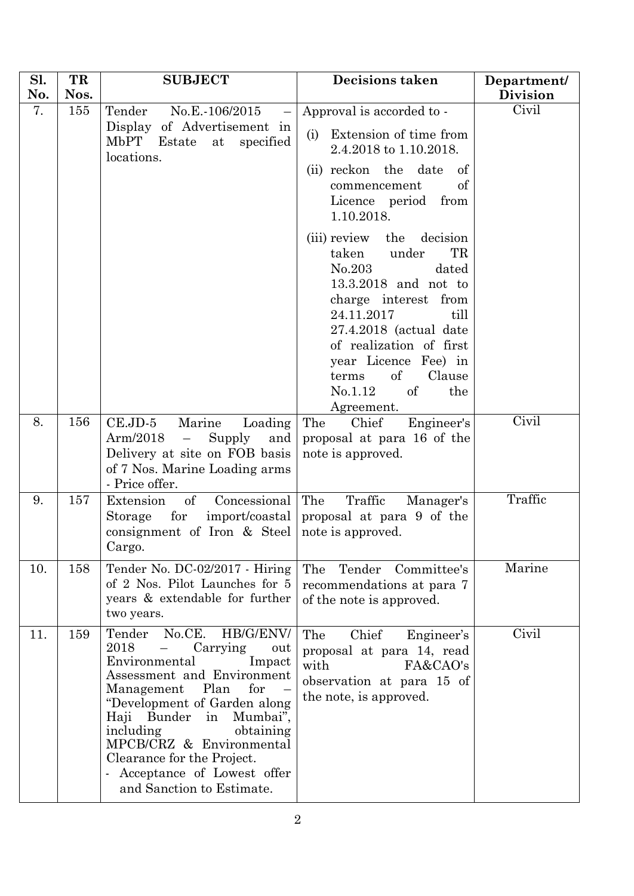| Sl.<br>No. | TR<br>Nos. | <b>SUBJECT</b>                                                                                                                                                                                                                                                                                                                                                               | <b>Decisions taken</b>                                                                                                                                                                                                                                                                   | Department/<br><b>Division</b> |
|------------|------------|------------------------------------------------------------------------------------------------------------------------------------------------------------------------------------------------------------------------------------------------------------------------------------------------------------------------------------------------------------------------------|------------------------------------------------------------------------------------------------------------------------------------------------------------------------------------------------------------------------------------------------------------------------------------------|--------------------------------|
| 7.         | 155        | No.E.-106/2015<br>Tender<br>Display of Advertisement in<br>MbPT<br>specified<br>Estate<br>at<br>locations.                                                                                                                                                                                                                                                                   | Approval is accorded to -<br>Extension of time from<br>(i)<br>2.4.2018 to 1.10.2018.<br>(ii) reckon the date<br><sub>of</sub><br>of<br>commencement<br>Licence period from<br>1.10.2018.                                                                                                 | Civil                          |
|            |            |                                                                                                                                                                                                                                                                                                                                                                              | (iii) review the decision<br>TR<br>taken<br>under<br>No.203<br>dated<br>13.3.2018 and not to<br>charge interest from<br>24.11.2017<br>till<br>$27.4.2018$ (actual date<br>of realization of first<br>year Licence Fee) in<br>of<br>Clause<br>terms<br>No.1.12<br>of<br>the<br>Agreement. |                                |
| 8.         | 156        | $CE.JD-5$<br>Marine<br>Loading<br>Arm/2018<br>Supply<br>$\equiv$<br>and<br>Delivery at site on FOB basis<br>of 7 Nos. Marine Loading arms<br>- Price offer.                                                                                                                                                                                                                  | The<br>Chief<br>Engineer's<br>proposal at para 16 of the<br>note is approved.                                                                                                                                                                                                            | Civil                          |
| 9.         | 157        | Extension<br>of<br>Concessional<br>Storage<br>for<br>import/coastal<br>consignment of Iron & Steel<br>Cargo.                                                                                                                                                                                                                                                                 | The<br>Traffic<br>Manager's<br>proposal at para 9 of the<br>note is approved.                                                                                                                                                                                                            | Traffic                        |
| 10.        | 158        | Tender No. DC-02/2017 - Hiring<br>of 2 Nos. Pilot Launches for 5<br>years & extendable for further<br>two years.                                                                                                                                                                                                                                                             | The<br>Tender Committee's<br>recommendations at para 7<br>of the note is approved.                                                                                                                                                                                                       | Marine                         |
| 11.        | 159        | No.CE.<br>HB/G/ENV/<br>Tender<br>2018<br>Carrying<br>$\equiv$<br>out<br>Environmental<br>Impact<br>Assessment and Environment<br>Plan<br>for<br>Management<br>"Development of Garden along<br>Haji Bunder<br>Mumbai",<br>in<br>including<br>obtaining<br>MPCB/CRZ & Environmental<br>Clearance for the Project.<br>- Acceptance of Lowest offer<br>and Sanction to Estimate. | Chief<br>The<br>Engineer's<br>proposal at para 14, read<br>with<br>FA&CAO's<br>observation at para 15 of<br>the note, is approved.                                                                                                                                                       | Civil                          |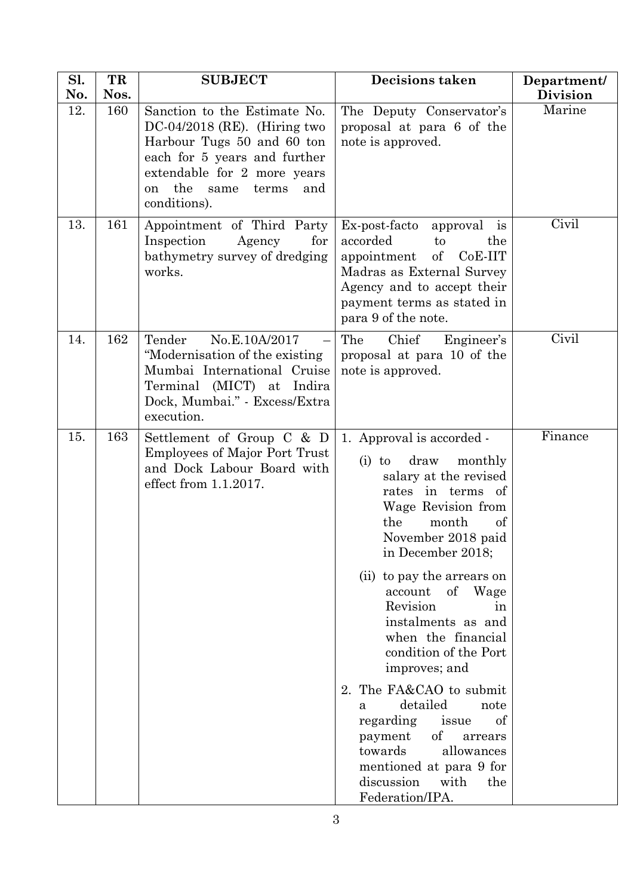| Sl. | TR   | <b>SUBJECT</b>                                                                                                                                                                                                              | <b>Decisions taken</b>                                                                                                                                                                                                                                                                                                                                                                                                                                                                                                                                                    | Department/     |
|-----|------|-----------------------------------------------------------------------------------------------------------------------------------------------------------------------------------------------------------------------------|---------------------------------------------------------------------------------------------------------------------------------------------------------------------------------------------------------------------------------------------------------------------------------------------------------------------------------------------------------------------------------------------------------------------------------------------------------------------------------------------------------------------------------------------------------------------------|-----------------|
| No. | Nos. |                                                                                                                                                                                                                             |                                                                                                                                                                                                                                                                                                                                                                                                                                                                                                                                                                           | <b>Division</b> |
| 12. | 160  | Sanction to the Estimate No.<br>$DC-04/2018$ (RE). (Hiring two<br>Harbour Tugs 50 and 60 ton<br>each for 5 years and further<br>extendable for 2 more years<br>the<br>same<br>terms<br>and<br><sub>on</sub><br>conditions). | The Deputy Conservator's<br>proposal at para 6 of the<br>note is approved.                                                                                                                                                                                                                                                                                                                                                                                                                                                                                                | Marine          |
| 13. | 161  | Appointment of Third Party<br>Inspection<br>Agency<br>for<br>bathymetry survey of dredging<br>works.                                                                                                                        | Ex-post-facto<br>approval is<br>accorded<br>the<br>to<br>$\sigma$<br>CoE-IIT<br>appointment<br>Madras as External Survey<br>Agency and to accept their<br>payment terms as stated in<br>para 9 of the note.                                                                                                                                                                                                                                                                                                                                                               | Civil           |
| 14. | 162  | Tender<br>No.E.10A/2017<br>"Modernisation of the existing"<br>Mumbai International Cruise<br>Terminal (MICT) at Indira<br>Dock, Mumbai." - Excess/Extra<br>execution.                                                       | Chief<br>Engineer's<br>The<br>proposal at para 10 of the<br>note is approved.                                                                                                                                                                                                                                                                                                                                                                                                                                                                                             | Civil           |
| 15. | 163  | Settlement of Group C & D<br><b>Employees of Major Port Trust</b><br>and Dock Labour Board with<br>effect from 1.1.2017.                                                                                                    | 1. Approval is accorded -<br>draw<br>monthly<br>$(i)$ to<br>salary at the revised<br>rates in terms of<br>Wage Revision from<br>the<br>month<br>of<br>November 2018 paid<br>in December 2018;<br>(ii) to pay the arrears on<br>of Wage<br>account<br>Revision<br>in<br>instalments as and<br>when the financial<br>condition of the Port<br>improves; and<br>2. The FA&CAO to submit<br>detailed<br>note<br>a<br>regarding<br>issue<br>οf<br>of<br>payment<br>arrears<br>towards<br>allowances<br>mentioned at para 9 for<br>discussion<br>with<br>the<br>Federation/IPA. | Finance         |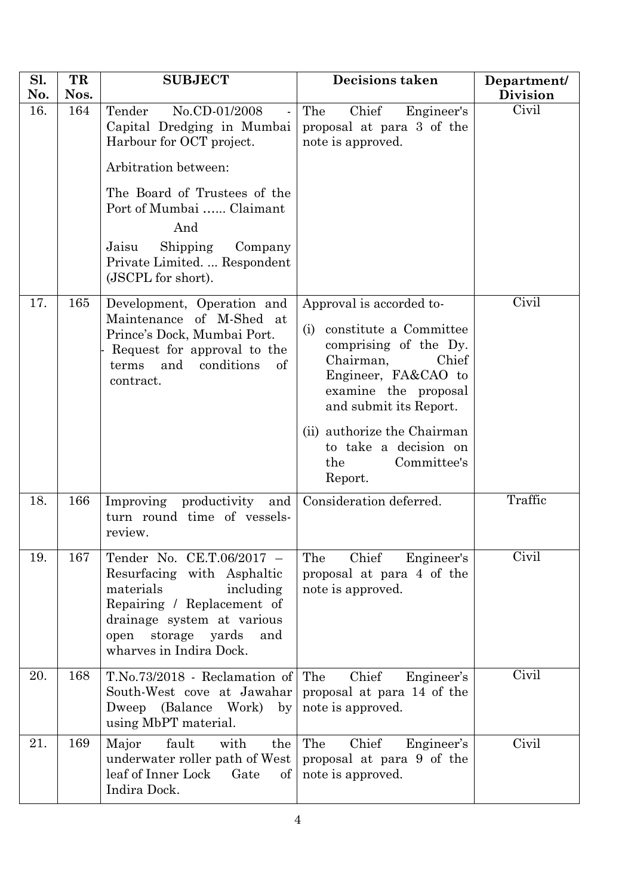| Sl.<br>No. | TR<br>Nos. | <b>SUBJECT</b>                                                                                                                                                                                                                                                     | <b>Decisions taken</b>                                                                                                                                                                                                                                                     | Department/<br><b>Division</b> |
|------------|------------|--------------------------------------------------------------------------------------------------------------------------------------------------------------------------------------------------------------------------------------------------------------------|----------------------------------------------------------------------------------------------------------------------------------------------------------------------------------------------------------------------------------------------------------------------------|--------------------------------|
| 16.        | 164        | No.CD-01/2008<br>Tender<br>Capital Dredging in Mumbai<br>Harbour for OCT project.<br>Arbitration between:<br>The Board of Trustees of the<br>Port of Mumbai  Claimant<br>And<br>Shipping<br>Jaisu<br>Company<br>Private Limited.  Respondent<br>(JSCPL for short). | Chief<br>Engineer's<br>The<br>proposal at para 3 of the<br>note is approved.                                                                                                                                                                                               | Civil                          |
| 17.        | 165        | Development, Operation and<br>Maintenance of M-Shed at<br>Prince's Dock, Mumbai Port.<br>Request for approval to the<br>and<br>conditions<br>terms<br>of<br>contract.                                                                                              | Approval is accorded to-<br>constitute a Committee<br>(i)<br>comprising of the Dy.<br>Chairman,<br>Chief<br>Engineer, FA&CAO to<br>examine the proposal<br>and submit its Report.<br>(ii) authorize the Chairman<br>to take a decision on<br>Committee's<br>the<br>Report. | Civil                          |
| 18.        | 166        | Improving productivity and<br>turn round time of vessels-<br>review.                                                                                                                                                                                               | Consideration deferred.                                                                                                                                                                                                                                                    | Traffic                        |
| 19.        | 167        | Tender No. CE.T.06/2017 -<br>Resurfacing with Asphaltic<br>materials<br>including<br>Repairing / Replacement of<br>drainage system at various<br>storage yards<br>and<br>open<br>wharves in Indira Dock.                                                           | Chief<br>Engineer's<br>The<br>proposal at para 4 of the<br>note is approved.                                                                                                                                                                                               | Civil                          |
| 20.        | 168        | T.No.73/2018 - Reclamation of<br>South-West cove at Jawahar<br>Dweep (Balance Work)<br>$\mathbf{b} \mathbf{v}$<br>using MbPT material.                                                                                                                             | The<br>Chief<br>Engineer's<br>proposal at para 14 of the<br>note is approved.                                                                                                                                                                                              | Civil                          |
| 21.        | 169        | Major<br>fault<br>with<br>the<br>underwater roller path of West<br>leaf of Inner Lock<br>Gate<br>$\mathrm{of}$<br>Indira Dock.                                                                                                                                     | Chief<br>The<br>Engineer's<br>proposal at para 9 of the<br>note is approved.                                                                                                                                                                                               | Civil                          |